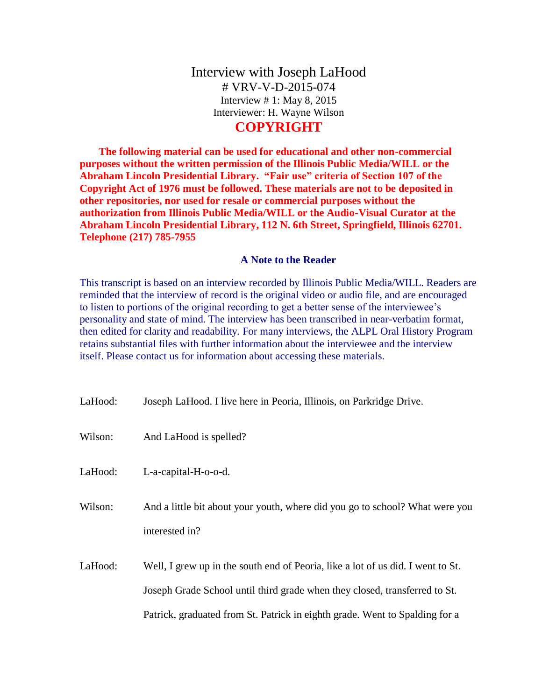# Interview with Joseph LaHood # VRV-V-D-2015-074 Interview # 1: May 8, 2015 Interviewer: H. Wayne Wilson

## **COPYRIGHT**

**The following material can be used for educational and other non-commercial purposes without the written permission of the Illinois Public Media/WILL or the Abraham Lincoln Presidential Library. "Fair use" criteria of Section 107 of the Copyright Act of 1976 must be followed. These materials are not to be deposited in other repositories, nor used for resale or commercial purposes without the authorization from Illinois Public Media/WILL or the Audio-Visual Curator at the Abraham Lincoln Presidential Library, 112 N. 6th Street, Springfield, Illinois 62701. Telephone (217) 785-7955**

### **A Note to the Reader**

This transcript is based on an interview recorded by Illinois Public Media/WILL. Readers are reminded that the interview of record is the original video or audio file, and are encouraged to listen to portions of the original recording to get a better sense of the interviewee's personality and state of mind. The interview has been transcribed in near-verbatim format, then edited for clarity and readability. For many interviews, the ALPL Oral History Program retains substantial files with further information about the interviewee and the interview itself. Please contact us for information about accessing these materials.

| LaHood: | Joseph LaHood. I live here in Peoria, Illinois, on Parkridge Drive.                                                                                                                                                                          |
|---------|----------------------------------------------------------------------------------------------------------------------------------------------------------------------------------------------------------------------------------------------|
| Wilson: | And LaHood is spelled?                                                                                                                                                                                                                       |
| LaHood: | L-a-capital-H-o-o-d.                                                                                                                                                                                                                         |
| Wilson: | And a little bit about your youth, where did you go to school? What were you<br>interested in?                                                                                                                                               |
| LaHood: | Well, I grew up in the south end of Peoria, like a lot of us did. I went to St.<br>Joseph Grade School until third grade when they closed, transferred to St.<br>Patrick, graduated from St. Patrick in eighth grade. Went to Spalding for a |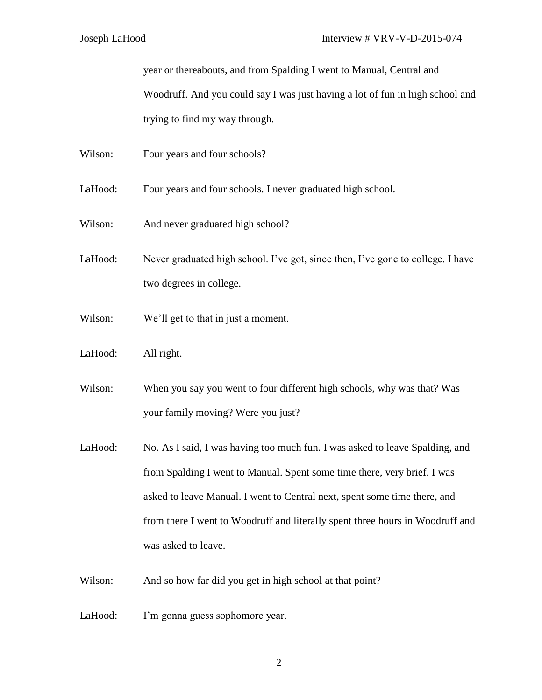year or thereabouts, and from Spalding I went to Manual, Central and Woodruff. And you could say I was just having a lot of fun in high school and

trying to find my way through.

Wilson: Four years and four schools?

LaHood: Four years and four schools. I never graduated high school.

- Wilson: And never graduated high school?
- LaHood: Never graduated high school. I've got, since then, I've gone to college. I have two degrees in college.
- Wilson: We'll get to that in just a moment.
- LaHood: All right.

Wilson: When you say you went to four different high schools, why was that? Was your family moving? Were you just?

- LaHood: No. As I said, I was having too much fun. I was asked to leave Spalding, and from Spalding I went to Manual. Spent some time there, very brief. I was asked to leave Manual. I went to Central next, spent some time there, and from there I went to Woodruff and literally spent three hours in Woodruff and was asked to leave.
- Wilson: And so how far did you get in high school at that point?
- LaHood: I'm gonna guess sophomore year.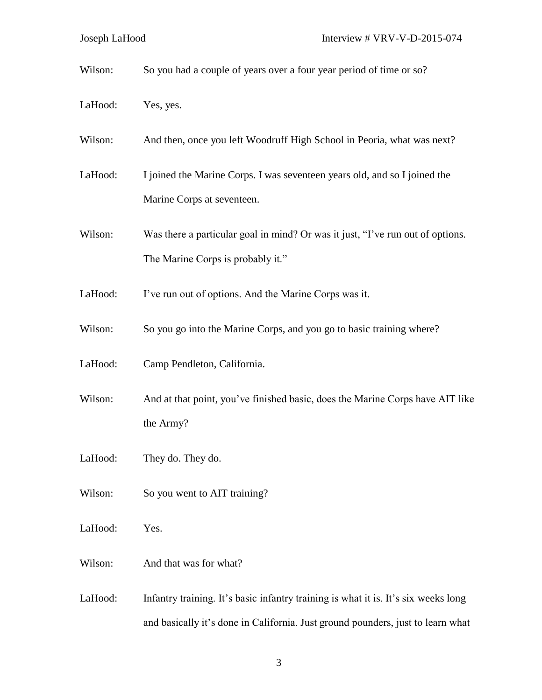Wilson: So you had a couple of years over a four year period of time or so?

- LaHood: Yes, yes.
- Wilson: And then, once you left Woodruff High School in Peoria, what was next?
- LaHood: I joined the Marine Corps. I was seventeen years old, and so I joined the Marine Corps at seventeen.
- Wilson: Was there a particular goal in mind? Or was it just, "I've run out of options. The Marine Corps is probably it."
- LaHood: I've run out of options. And the Marine Corps was it.
- Wilson: So you go into the Marine Corps, and you go to basic training where?
- LaHood: Camp Pendleton, California.
- Wilson: And at that point, you've finished basic, does the Marine Corps have AIT like the Army?
- LaHood: They do. They do.
- Wilson: So you went to AIT training?
- LaHood: Yes.
- Wilson: And that was for what?
- LaHood: Infantry training. It's basic infantry training is what it is. It's six weeks long and basically it's done in California. Just ground pounders, just to learn what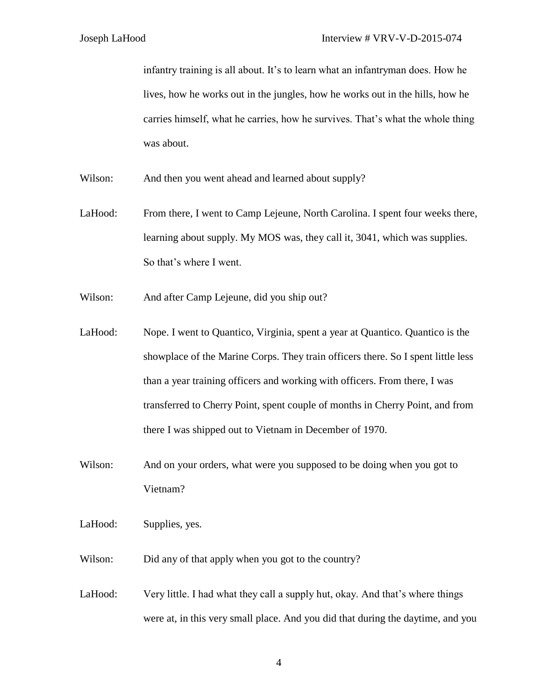infantry training is all about. It's to learn what an infantryman does. How he lives, how he works out in the jungles, how he works out in the hills, how he carries himself, what he carries, how he survives. That's what the whole thing was about.

Wilson: And then you went ahead and learned about supply?

LaHood: From there, I went to Camp Lejeune, North Carolina. I spent four weeks there, learning about supply. My MOS was, they call it, 3041, which was supplies. So that's where I went.

Wilson: And after Camp Lejeune, did you ship out?

LaHood: Nope. I went to Quantico, Virginia, spent a year at Quantico. Quantico is the showplace of the Marine Corps. They train officers there. So I spent little less than a year training officers and working with officers. From there, I was transferred to Cherry Point, spent couple of months in Cherry Point, and from there I was shipped out to Vietnam in December of 1970.

Wilson: And on your orders, what were you supposed to be doing when you got to Vietnam?

LaHood: Supplies, yes.

Wilson: Did any of that apply when you got to the country?

LaHood: Very little. I had what they call a supply hut, okay. And that's where things were at, in this very small place. And you did that during the daytime, and you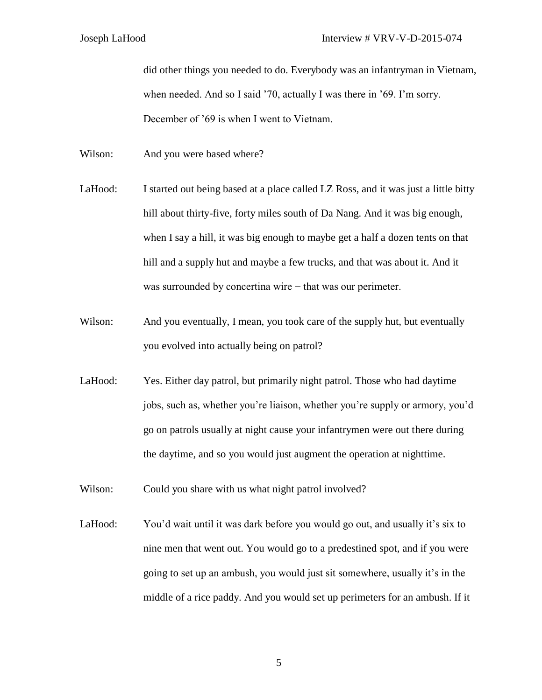did other things you needed to do. Everybody was an infantryman in Vietnam, when needed. And so I said '70, actually I was there in '69. I'm sorry. December of '69 is when I went to Vietnam.

Wilson: And you were based where?

- LaHood: I started out being based at a place called LZ Ross, and it was just a little bitty hill about thirty-five, forty miles south of Da Nang. And it was big enough, when I say a hill, it was big enough to maybe get a half a dozen tents on that hill and a supply hut and maybe a few trucks, and that was about it. And it was surrounded by concertina wire – that was our perimeter.
- Wilson: And you eventually, I mean, you took care of the supply hut, but eventually you evolved into actually being on patrol?
- LaHood: Yes. Either day patrol, but primarily night patrol. Those who had daytime jobs, such as, whether you're liaison, whether you're supply or armory, you'd go on patrols usually at night cause your infantrymen were out there during the daytime, and so you would just augment the operation at nighttime.

Wilson: Could you share with us what night patrol involved?

LaHood: You'd wait until it was dark before you would go out, and usually it's six to nine men that went out. You would go to a predestined spot, and if you were going to set up an ambush, you would just sit somewhere, usually it's in the middle of a rice paddy. And you would set up perimeters for an ambush. If it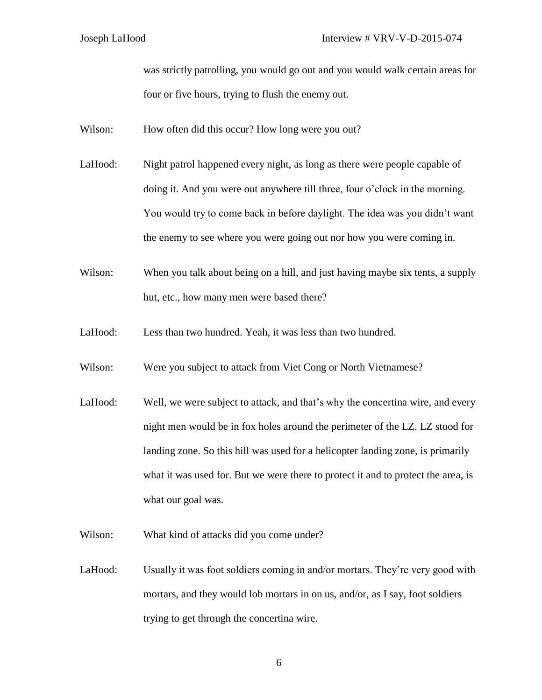was strictly patrolling, you would go out and you would walk certain areas for four or five hours, trying to flush the enemy out.

Wilson: How often did this occur? How long were you out?

- LaHood: Night patrol happened every night, as long as there were people capable of doing it. And you were out anywhere till three, four o'clock in the morning. You would try to come back in before daylight. The idea was you didn't want the enemy to see where you were going out nor how you were coming in.
- Wilson: When you talk about being on a hill, and just having maybe six tents, a supply hut, etc., how many men were based there?
- LaHood: Less than two hundred. Yeah, it was less than two hundred.
- Wilson: Were you subject to attack from Viet Cong or North Vietnamese?
- LaHood: Well, we were subject to attack, and that's why the concertina wire, and every night men would be in fox holes around the perimeter of the LZ. LZ stood for landing zone. So this hill was used for a helicopter landing zone, is primarily what it was used for. But we were there to protect it and to protect the area, is what our goal was.
- Wilson: What kind of attacks did you come under?
- LaHood: Usually it was foot soldiers coming in and/or mortars. They're very good with mortars, and they would lob mortars in on us, and/or, as I say, foot soldiers trying to get through the concertina wire.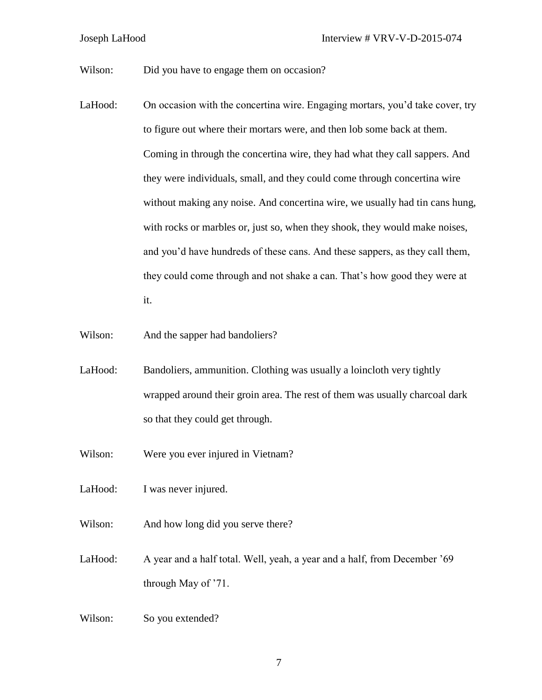Wilson: Did you have to engage them on occasion?

- LaHood: On occasion with the concertina wire. Engaging mortars, you'd take cover, try to figure out where their mortars were, and then lob some back at them. Coming in through the concertina wire, they had what they call sappers. And they were individuals, small, and they could come through concertina wire without making any noise. And concertina wire, we usually had tin cans hung, with rocks or marbles or, just so, when they shook, they would make noises, and you'd have hundreds of these cans. And these sappers, as they call them, they could come through and not shake a can. That's how good they were at it.
- Wilson: And the sapper had bandoliers?
- LaHood: Bandoliers, ammunition. Clothing was usually a loincloth very tightly wrapped around their groin area. The rest of them was usually charcoal dark so that they could get through.
- Wilson: Were you ever injured in Vietnam?

LaHood: I was never injured.

- Wilson: And how long did you serve there?
- LaHood: A year and a half total. Well, yeah, a year and a half, from December '69 through May of '71.
- Wilson: So you extended?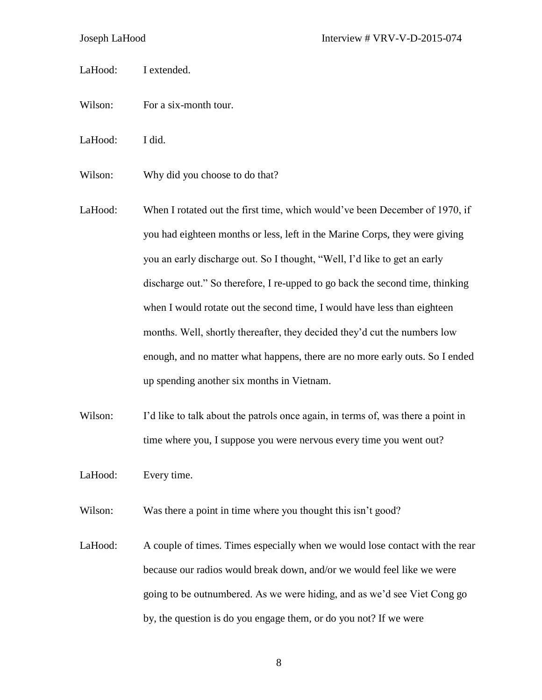LaHood: I extended.

- Wilson: For a six-month tour.
- LaHood: I did.
- Wilson: Why did you choose to do that?
- LaHood: When I rotated out the first time, which would've been December of 1970, if you had eighteen months or less, left in the Marine Corps, they were giving you an early discharge out. So I thought, "Well, I'd like to get an early discharge out." So therefore, I re-upped to go back the second time, thinking when I would rotate out the second time, I would have less than eighteen months. Well, shortly thereafter, they decided they'd cut the numbers low enough, and no matter what happens, there are no more early outs. So I ended up spending another six months in Vietnam.
- Wilson: I'd like to talk about the patrols once again, in terms of, was there a point in time where you, I suppose you were nervous every time you went out?
- LaHood: Every time.

Wilson: Was there a point in time where you thought this isn't good?

LaHood: A couple of times. Times especially when we would lose contact with the rear because our radios would break down, and/or we would feel like we were going to be outnumbered. As we were hiding, and as we'd see Viet Cong go by, the question is do you engage them, or do you not? If we were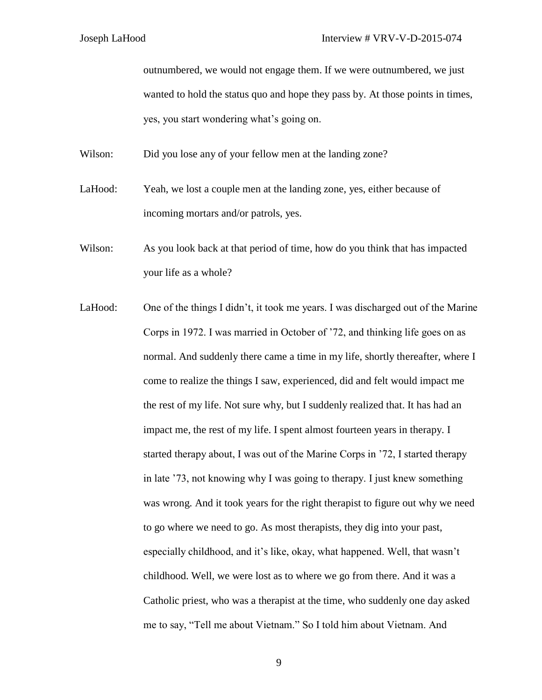outnumbered, we would not engage them. If we were outnumbered, we just wanted to hold the status quo and hope they pass by. At those points in times, yes, you start wondering what's going on.

Wilson: Did you lose any of your fellow men at the landing zone?

LaHood: Yeah, we lost a couple men at the landing zone, yes, either because of incoming mortars and/or patrols, yes.

Wilson: As you look back at that period of time, how do you think that has impacted your life as a whole?

LaHood: One of the things I didn't, it took me years. I was discharged out of the Marine Corps in 1972. I was married in October of '72, and thinking life goes on as normal. And suddenly there came a time in my life, shortly thereafter, where I come to realize the things I saw, experienced, did and felt would impact me the rest of my life. Not sure why, but I suddenly realized that. It has had an impact me, the rest of my life. I spent almost fourteen years in therapy. I started therapy about, I was out of the Marine Corps in '72, I started therapy in late '73, not knowing why I was going to therapy. I just knew something was wrong. And it took years for the right therapist to figure out why we need to go where we need to go. As most therapists, they dig into your past, especially childhood, and it's like, okay, what happened. Well, that wasn't childhood. Well, we were lost as to where we go from there. And it was a Catholic priest, who was a therapist at the time, who suddenly one day asked me to say, "Tell me about Vietnam." So I told him about Vietnam. And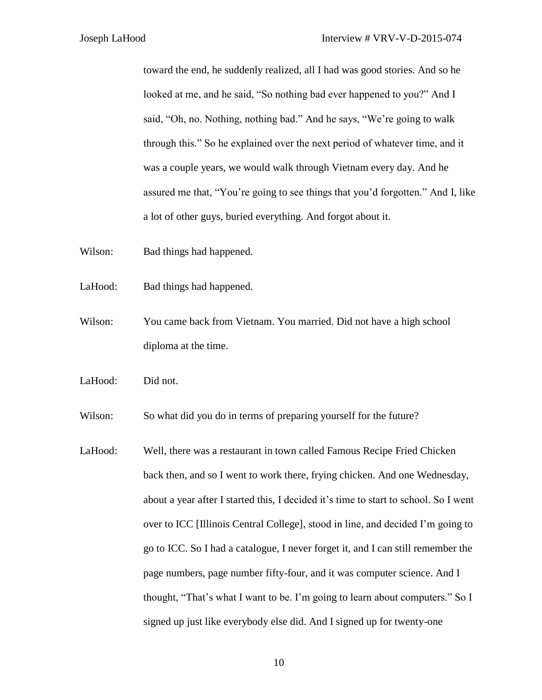toward the end, he suddenly realized, all I had was good stories. And so he looked at me, and he said, "So nothing bad ever happened to you?" And I said, "Oh, no. Nothing, nothing bad." And he says, "We're going to walk through this." So he explained over the next period of whatever time, and it was a couple years, we would walk through Vietnam every day. And he assured me that, "You're going to see things that you'd forgotten." And I, like a lot of other guys, buried everything. And forgot about it.

Wilson: Bad things had happened.

- LaHood: Bad things had happened.
- Wilson: You came back from Vietnam. You married. Did not have a high school diploma at the time.
- LaHood: Did not.

Wilson: So what did you do in terms of preparing yourself for the future?

LaHood: Well, there was a restaurant in town called Famous Recipe Fried Chicken back then, and so I went to work there, frying chicken. And one Wednesday, about a year after I started this, I decided it's time to start to school. So I went over to ICC [Illinois Central College], stood in line, and decided I'm going to go to ICC. So I had a catalogue, I never forget it, and I can still remember the page numbers, page number fifty-four, and it was computer science. And I thought, "That's what I want to be. I'm going to learn about computers." So I signed up just like everybody else did. And I signed up for twenty-one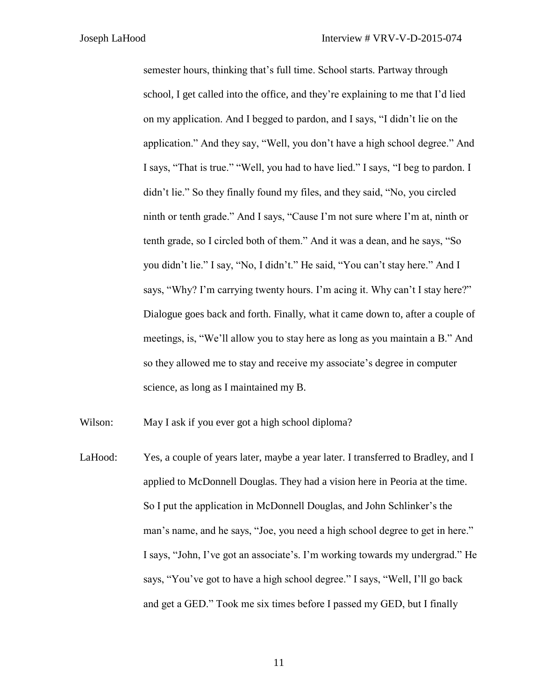semester hours, thinking that's full time. School starts. Partway through school, I get called into the office, and they're explaining to me that I'd lied on my application. And I begged to pardon, and I says, "I didn't lie on the application." And they say, "Well, you don't have a high school degree." And I says, "That is true." "Well, you had to have lied." I says, "I beg to pardon. I didn't lie." So they finally found my files, and they said, "No, you circled ninth or tenth grade." And I says, "Cause I'm not sure where I'm at, ninth or tenth grade, so I circled both of them." And it was a dean, and he says, "So you didn't lie." I say, "No, I didn't." He said, "You can't stay here." And I says, "Why? I'm carrying twenty hours. I'm acing it. Why can't I stay here?" Dialogue goes back and forth. Finally, what it came down to, after a couple of meetings, is, "We'll allow you to stay here as long as you maintain a B." And so they allowed me to stay and receive my associate's degree in computer science, as long as I maintained my B.

Wilson: May I ask if you ever got a high school diploma?

LaHood: Yes, a couple of years later, maybe a year later. I transferred to Bradley, and I applied to McDonnell Douglas. They had a vision here in Peoria at the time. So I put the application in McDonnell Douglas, and John Schlinker's the man's name, and he says, "Joe, you need a high school degree to get in here." I says, "John, I've got an associate's. I'm working towards my undergrad." He says, "You've got to have a high school degree." I says, "Well, I'll go back and get a GED." Took me six times before I passed my GED, but I finally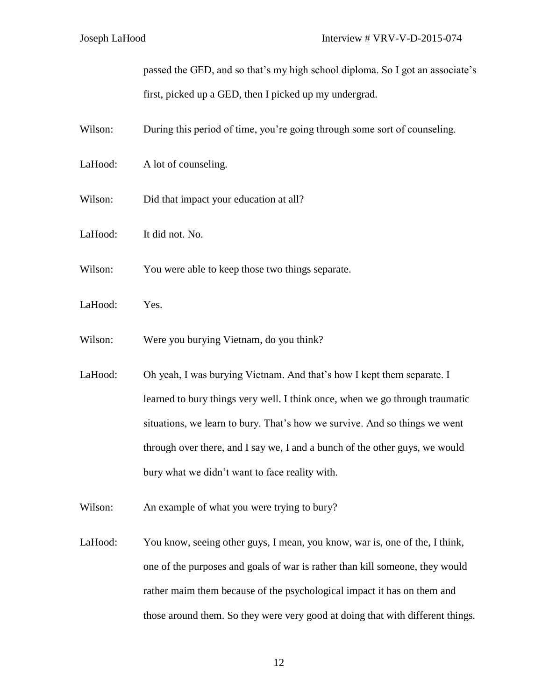passed the GED, and so that's my high school diploma. So I got an associate's first, picked up a GED, then I picked up my undergrad.

- Wilson: During this period of time, you're going through some sort of counseling.
- LaHood: A lot of counseling.
- Wilson: Did that impact your education at all?
- LaHood: It did not. No.
- Wilson: You were able to keep those two things separate.
- LaHood: Yes.
- Wilson: Were you burying Vietnam, do you think?
- LaHood: Oh yeah, I was burying Vietnam. And that's how I kept them separate. I learned to bury things very well. I think once, when we go through traumatic situations, we learn to bury. That's how we survive. And so things we went through over there, and I say we, I and a bunch of the other guys, we would bury what we didn't want to face reality with.
- Wilson: An example of what you were trying to bury?
- LaHood: You know, seeing other guys, I mean, you know, war is, one of the, I think, one of the purposes and goals of war is rather than kill someone, they would rather maim them because of the psychological impact it has on them and those around them. So they were very good at doing that with different things.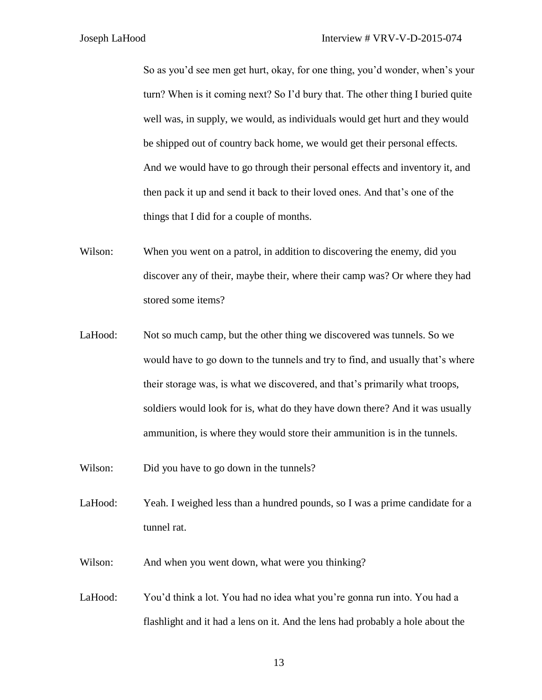So as you'd see men get hurt, okay, for one thing, you'd wonder, when's your turn? When is it coming next? So I'd bury that. The other thing I buried quite well was, in supply, we would, as individuals would get hurt and they would be shipped out of country back home, we would get their personal effects. And we would have to go through their personal effects and inventory it, and then pack it up and send it back to their loved ones. And that's one of the things that I did for a couple of months.

- Wilson: When you went on a patrol, in addition to discovering the enemy, did you discover any of their, maybe their, where their camp was? Or where they had stored some items?
- LaHood: Not so much camp, but the other thing we discovered was tunnels. So we would have to go down to the tunnels and try to find, and usually that's where their storage was, is what we discovered, and that's primarily what troops, soldiers would look for is, what do they have down there? And it was usually ammunition, is where they would store their ammunition is in the tunnels.
- Wilson: Did you have to go down in the tunnels?
- LaHood: Yeah. I weighed less than a hundred pounds, so I was a prime candidate for a tunnel rat.
- Wilson: And when you went down, what were you thinking?
- LaHood: You'd think a lot. You had no idea what you're gonna run into. You had a flashlight and it had a lens on it. And the lens had probably a hole about the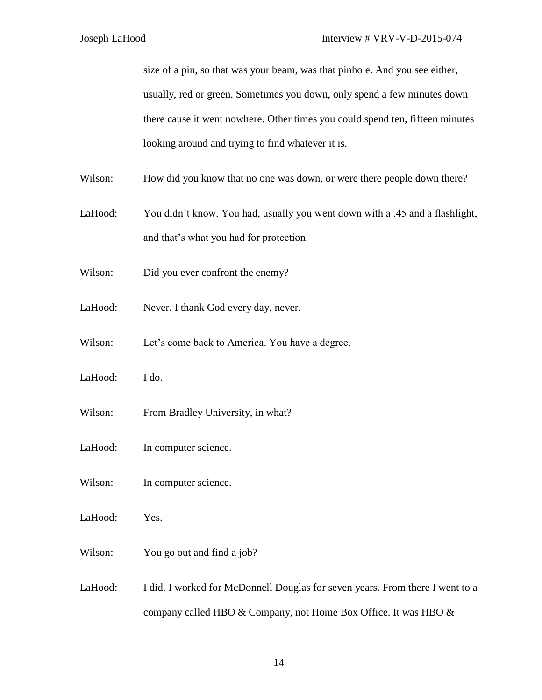size of a pin, so that was your beam, was that pinhole. And you see either, usually, red or green. Sometimes you down, only spend a few minutes down there cause it went nowhere. Other times you could spend ten, fifteen minutes looking around and trying to find whatever it is.

- Wilson: How did you know that no one was down, or were there people down there?
- LaHood: You didn't know. You had, usually you went down with a .45 and a flashlight, and that's what you had for protection.
- Wilson: Did you ever confront the enemy?
- LaHood: Never. I thank God every day, never.
- Wilson: Let's come back to America. You have a degree.
- LaHood: I do.
- Wilson: From Bradley University, in what?
- LaHood: In computer science.
- Wilson: In computer science.
- LaHood: Yes.
- Wilson: You go out and find a job?
- LaHood: I did. I worked for McDonnell Douglas for seven years. From there I went to a company called HBO & Company, not Home Box Office. It was HBO &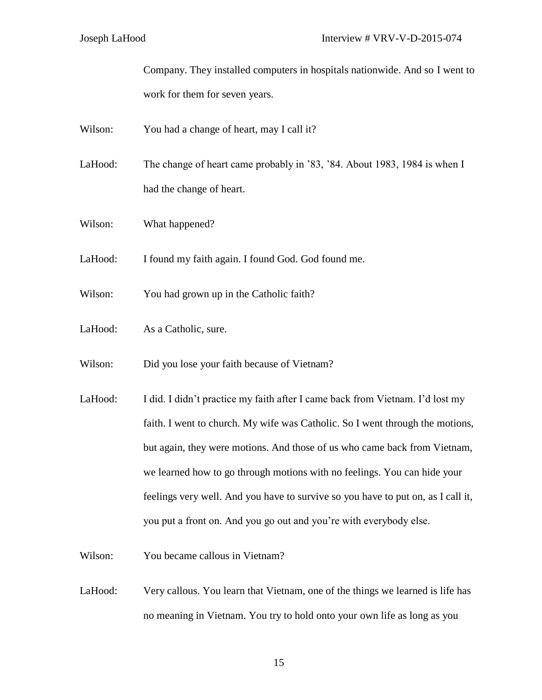Company. They installed computers in hospitals nationwide. And so I went to work for them for seven years.

- Wilson: You had a change of heart, may I call it?
- LaHood: The change of heart came probably in '83, '84. About 1983, 1984 is when I had the change of heart.
- Wilson: What happened?
- LaHood: I found my faith again. I found God. God found me.
- Wilson: You had grown up in the Catholic faith?
- LaHood: As a Catholic, sure.
- Wilson: Did you lose your faith because of Vietnam?
- LaHood: I did. I didn't practice my faith after I came back from Vietnam. I'd lost my faith. I went to church. My wife was Catholic. So I went through the motions, but again, they were motions. And those of us who came back from Vietnam, we learned how to go through motions with no feelings. You can hide your feelings very well. And you have to survive so you have to put on, as I call it, you put a front on. And you go out and you're with everybody else.
- Wilson: You became callous in Vietnam?
- LaHood: Very callous. You learn that Vietnam, one of the things we learned is life has no meaning in Vietnam. You try to hold onto your own life as long as you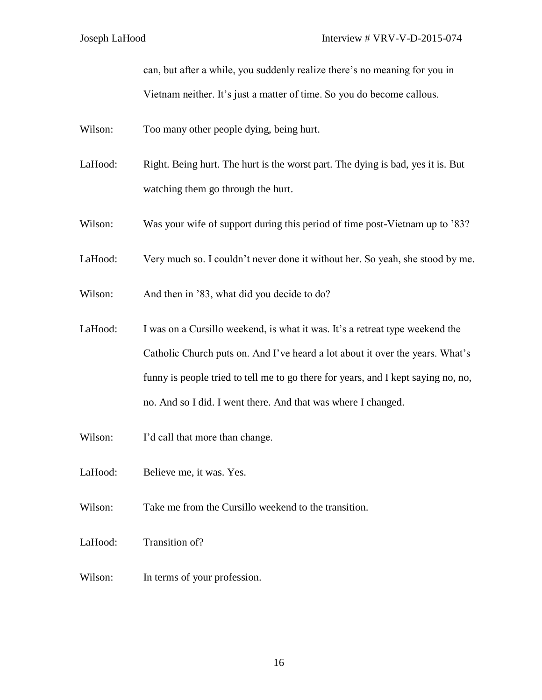can, but after a while, you suddenly realize there's no meaning for you in Vietnam neither. It's just a matter of time. So you do become callous.

- Wilson: Too many other people dying, being hurt.
- LaHood: Right. Being hurt. The hurt is the worst part. The dying is bad, yes it is. But watching them go through the hurt.
- Wilson: Was your wife of support during this period of time post-Vietnam up to '83?
- LaHood: Very much so. I couldn't never done it without her. So yeah, she stood by me.
- Wilson: And then in '83, what did you decide to do?
- LaHood: I was on a Cursillo weekend, is what it was. It's a retreat type weekend the Catholic Church puts on. And I've heard a lot about it over the years. What's funny is people tried to tell me to go there for years, and I kept saying no, no, no. And so I did. I went there. And that was where I changed.
- Wilson: I'd call that more than change.
- LaHood: Believe me, it was. Yes.
- Wilson: Take me from the Cursillo weekend to the transition.
- LaHood: Transition of?
- Wilson: In terms of your profession.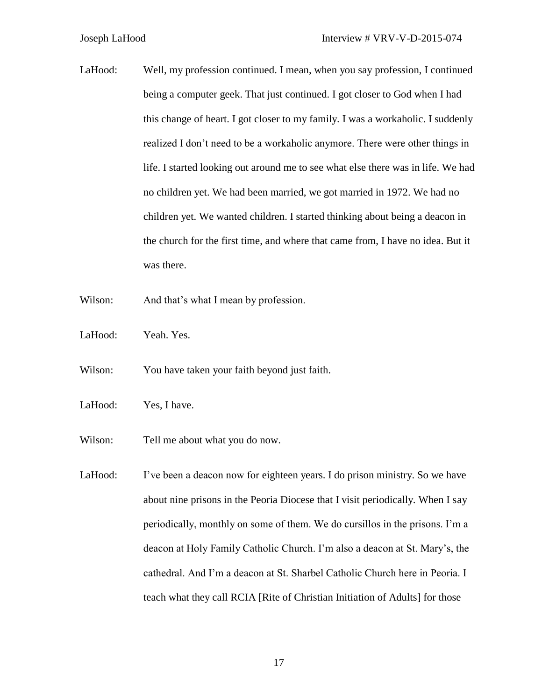- LaHood: Well, my profession continued. I mean, when you say profession, I continued being a computer geek. That just continued. I got closer to God when I had this change of heart. I got closer to my family. I was a workaholic. I suddenly realized I don't need to be a workaholic anymore. There were other things in life. I started looking out around me to see what else there was in life. We had no children yet. We had been married, we got married in 1972. We had no children yet. We wanted children. I started thinking about being a deacon in the church for the first time, and where that came from, I have no idea. But it was there.
- Wilson: And that's what I mean by profession.
- LaHood: Yeah. Yes.
- Wilson: You have taken your faith beyond just faith.
- LaHood: Yes, I have.
- Wilson: Tell me about what you do now.
- LaHood: I've been a deacon now for eighteen years. I do prison ministry. So we have about nine prisons in the Peoria Diocese that I visit periodically. When I say periodically, monthly on some of them. We do cursillos in the prisons. I'm a deacon at Holy Family Catholic Church. I'm also a deacon at St. Mary's, the cathedral. And I'm a deacon at St. Sharbel Catholic Church here in Peoria. I teach what they call RCIA [Rite of Christian Initiation of Adults] for those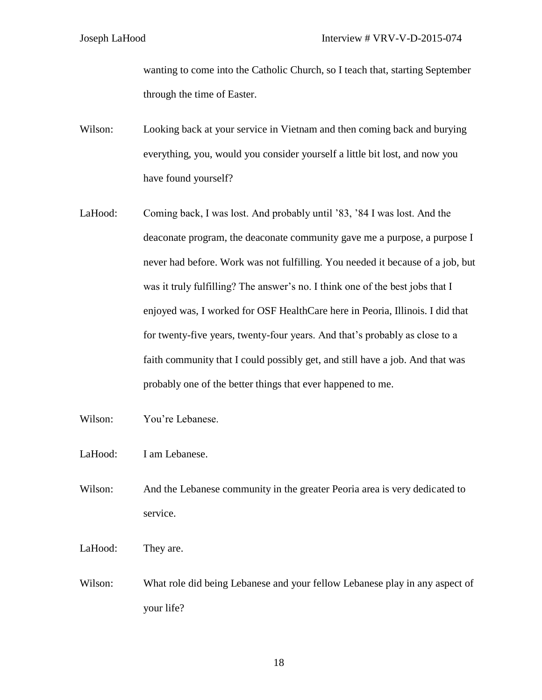wanting to come into the Catholic Church, so I teach that, starting September through the time of Easter.

- Wilson: Looking back at your service in Vietnam and then coming back and burying everything, you, would you consider yourself a little bit lost, and now you have found yourself?
- LaHood: Coming back, I was lost. And probably until '83, '84 I was lost. And the deaconate program, the deaconate community gave me a purpose, a purpose I never had before. Work was not fulfilling. You needed it because of a job, but was it truly fulfilling? The answer's no. I think one of the best jobs that I enjoyed was, I worked for OSF HealthCare here in Peoria, Illinois. I did that for twenty-five years, twenty-four years. And that's probably as close to a faith community that I could possibly get, and still have a job. And that was probably one of the better things that ever happened to me.
- Wilson: You're Lebanese.
- LaHood: I am Lebanese.
- Wilson: And the Lebanese community in the greater Peoria area is very dedicated to service.
- LaHood: They are.
- Wilson: What role did being Lebanese and your fellow Lebanese play in any aspect of your life?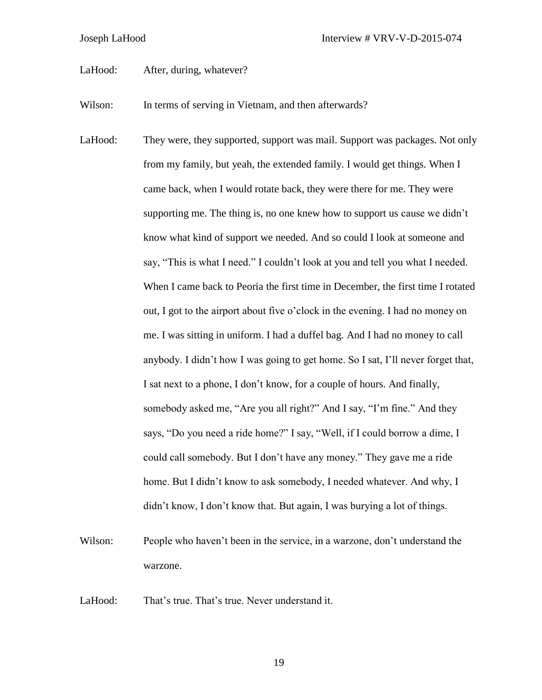LaHood: After, during, whatever?

Wilson: In terms of serving in Vietnam, and then afterwards?

- LaHood: They were, they supported, support was mail. Support was packages. Not only from my family, but yeah, the extended family. I would get things. When I came back, when I would rotate back, they were there for me. They were supporting me. The thing is, no one knew how to support us cause we didn't know what kind of support we needed. And so could I look at someone and say, "This is what I need." I couldn't look at you and tell you what I needed. When I came back to Peoria the first time in December, the first time I rotated out, I got to the airport about five o'clock in the evening. I had no money on me. I was sitting in uniform. I had a duffel bag. And I had no money to call anybody. I didn't how I was going to get home. So I sat, I'll never forget that, I sat next to a phone, I don't know, for a couple of hours. And finally, somebody asked me, "Are you all right?" And I say, "I'm fine." And they says, "Do you need a ride home?" I say, "Well, if I could borrow a dime, I could call somebody. But I don't have any money." They gave me a ride home. But I didn't know to ask somebody, I needed whatever. And why, I didn't know, I don't know that. But again, I was burying a lot of things.
- Wilson: People who haven't been in the service, in a warzone, don't understand the warzone.

LaHood: That's true. That's true. Never understand it.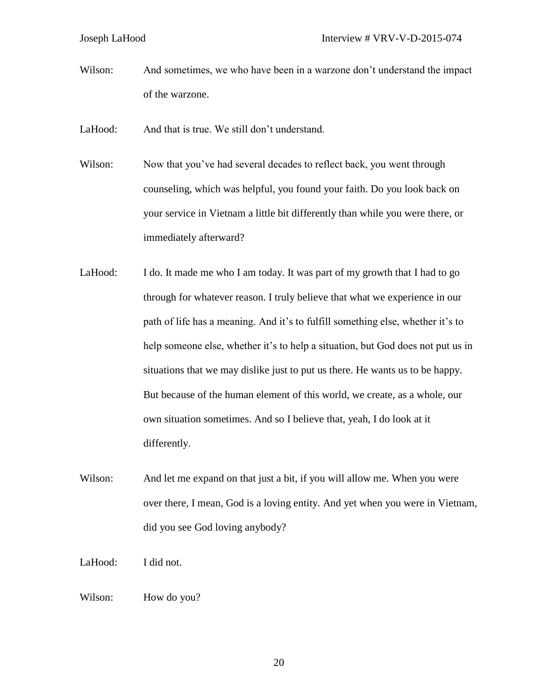Wilson: And sometimes, we who have been in a warzone don't understand the impact of the warzone.

LaHood: And that is true. We still don't understand.

- Wilson: Now that you've had several decades to reflect back, you went through counseling, which was helpful, you found your faith. Do you look back on your service in Vietnam a little bit differently than while you were there, or immediately afterward?
- LaHood: I do. It made me who I am today. It was part of my growth that I had to go through for whatever reason. I truly believe that what we experience in our path of life has a meaning. And it's to fulfill something else, whether it's to help someone else, whether it's to help a situation, but God does not put us in situations that we may dislike just to put us there. He wants us to be happy. But because of the human element of this world, we create, as a whole, our own situation sometimes. And so I believe that, yeah, I do look at it differently.
- Wilson: And let me expand on that just a bit, if you will allow me. When you were over there, I mean, God is a loving entity. And yet when you were in Vietnam, did you see God loving anybody?
- LaHood: I did not.
- Wilson: How do you?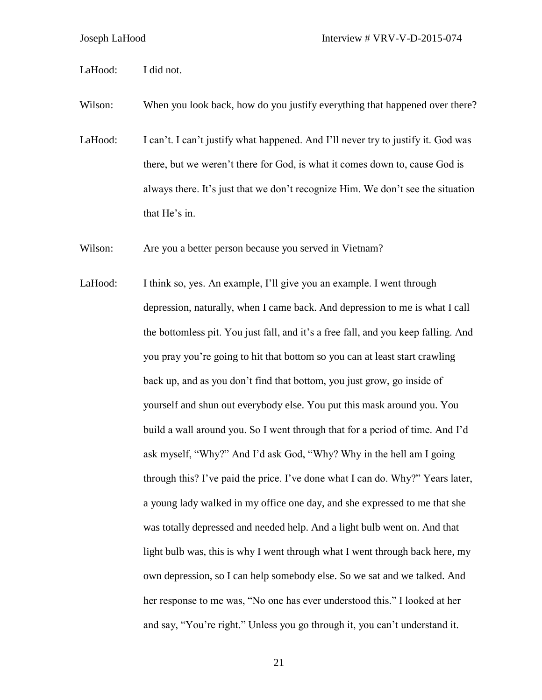LaHood: I did not.

Wilson: When you look back, how do you justify everything that happened over there?

LaHood: I can't. I can't justify what happened. And I'll never try to justify it. God was there, but we weren't there for God, is what it comes down to, cause God is always there. It's just that we don't recognize Him. We don't see the situation that He's in.

Wilson: Are you a better person because you served in Vietnam?

LaHood: I think so, yes. An example, I'll give you an example. I went through depression, naturally, when I came back. And depression to me is what I call the bottomless pit. You just fall, and it's a free fall, and you keep falling. And you pray you're going to hit that bottom so you can at least start crawling back up, and as you don't find that bottom, you just grow, go inside of yourself and shun out everybody else. You put this mask around you. You build a wall around you. So I went through that for a period of time. And I'd ask myself, "Why?" And I'd ask God, "Why? Why in the hell am I going through this? I've paid the price. I've done what I can do. Why?" Years later, a young lady walked in my office one day, and she expressed to me that she was totally depressed and needed help. And a light bulb went on. And that light bulb was, this is why I went through what I went through back here, my own depression, so I can help somebody else. So we sat and we talked. And her response to me was, "No one has ever understood this." I looked at her and say, "You're right." Unless you go through it, you can't understand it.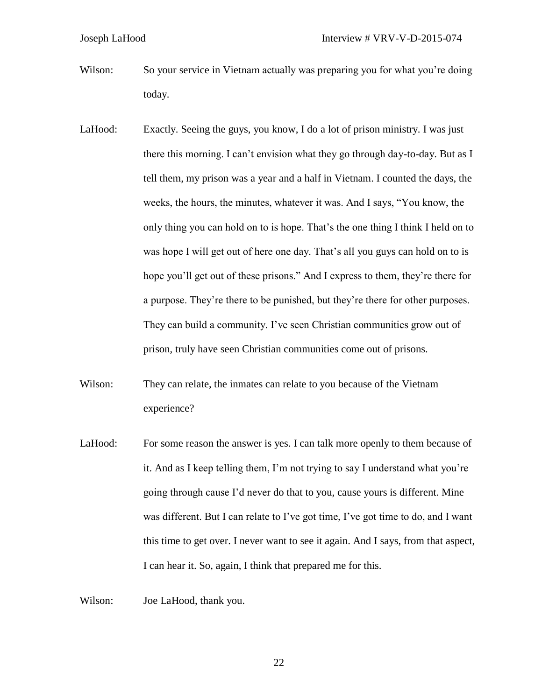- Wilson: So your service in Vietnam actually was preparing you for what you're doing today.
- LaHood: Exactly. Seeing the guys, you know, I do a lot of prison ministry. I was just there this morning. I can't envision what they go through day-to-day. But as I tell them, my prison was a year and a half in Vietnam. I counted the days, the weeks, the hours, the minutes, whatever it was. And I says, "You know, the only thing you can hold on to is hope. That's the one thing I think I held on to was hope I will get out of here one day. That's all you guys can hold on to is hope you'll get out of these prisons." And I express to them, they're there for a purpose. They're there to be punished, but they're there for other purposes. They can build a community. I've seen Christian communities grow out of prison, truly have seen Christian communities come out of prisons.
- Wilson: They can relate, the inmates can relate to you because of the Vietnam experience?
- LaHood: For some reason the answer is yes. I can talk more openly to them because of it. And as I keep telling them, I'm not trying to say I understand what you're going through cause I'd never do that to you, cause yours is different. Mine was different. But I can relate to I've got time, I've got time to do, and I want this time to get over. I never want to see it again. And I says, from that aspect, I can hear it. So, again, I think that prepared me for this.

Wilson: Joe LaHood, thank you.